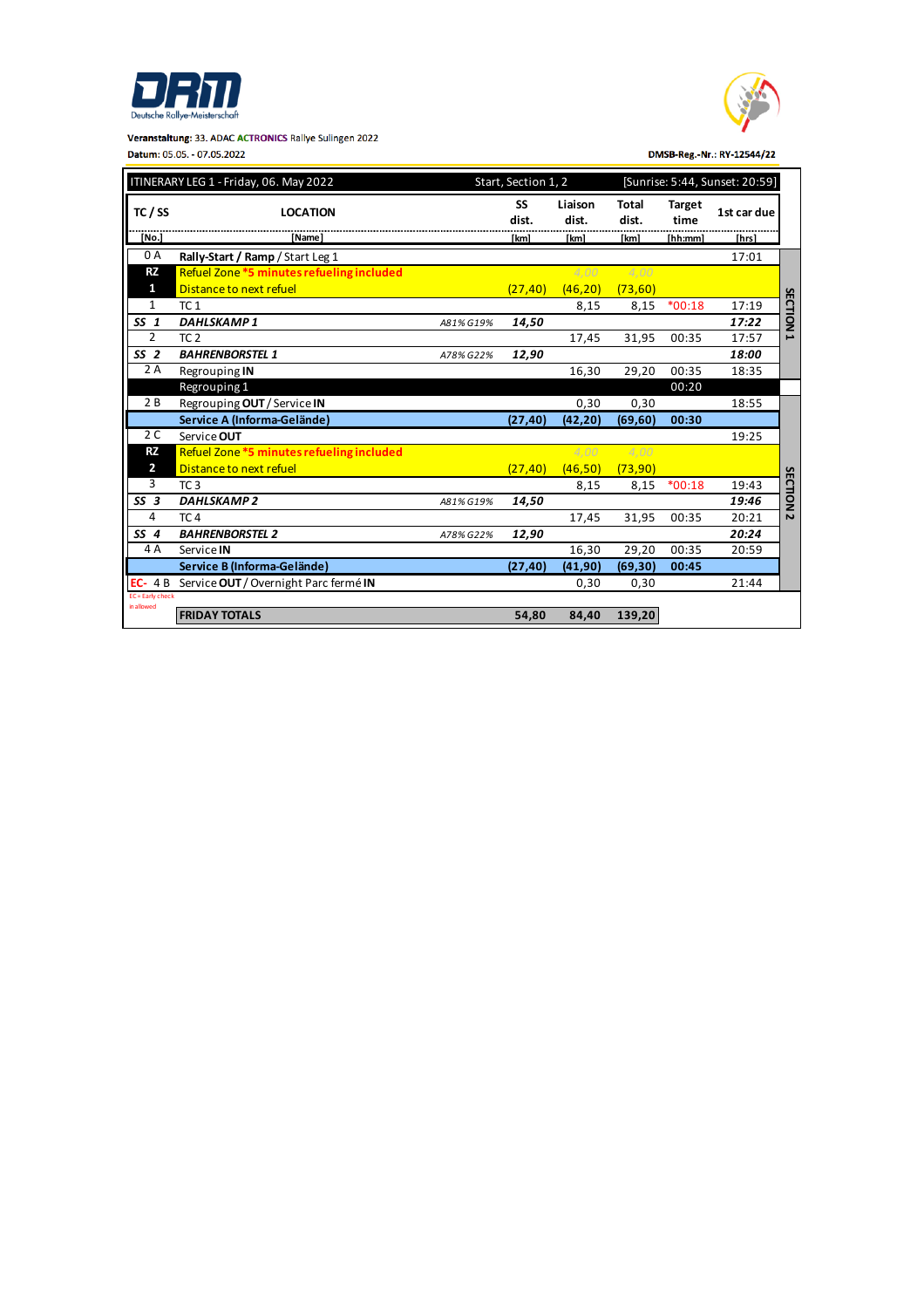





DMSB-Reg.-Nr.: RY-12544/22

| ITINERARY LEG 1 - Friday, 06. May 2022 |                                           |           | Start, Section 1, 2 |                  |                |                       | [Sunrise: 5:44, Sunset: 20:59] |                          |
|----------------------------------------|-------------------------------------------|-----------|---------------------|------------------|----------------|-----------------------|--------------------------------|--------------------------|
| TC / SS                                | <b>LOCATION</b>                           |           | SS<br>dist.         | Liaison<br>dist. | Total<br>dist. | <b>Target</b><br>time | 1st car due                    |                          |
| [No.                                   | <b>Name</b>                               |           | [km]                | [km]             | [km]           | [hh:mm]               | [hrs]                          |                          |
| 0 A                                    | Rally-Start / Ramp / Start Leg 1          |           |                     |                  |                |                       | 17:01                          |                          |
| <b>RZ</b>                              | Refuel Zone *5 minutes refueling included |           |                     | 4.00             | 4.00           |                       |                                |                          |
| 1                                      | Distance to next refuel                   |           | (27, 40)            | (46, 20)         | (73, 60)       |                       |                                |                          |
| $\mathbf{1}$                           | TC <sub>1</sub>                           |           |                     | 8,15             | 8,15           | $*00:18$              | 17:19                          |                          |
| SS <sub>1</sub>                        | <b>DAHLSKAMP1</b>                         | A81% G19% | 14,50               |                  |                |                       | 17:22                          | <b>SECTION</b>           |
| 2                                      | TC <sub>2</sub>                           |           |                     | 17,45            | 31,95          | 00:35                 | 17:57                          | $\overline{\phantom{a}}$ |
| SS <sub>2</sub>                        | <b>BAHRENBORSTEL 1</b>                    | A78% G22% | 12,90               |                  |                |                       | 18:00                          |                          |
| 2 A                                    | Regrouping IN                             |           |                     | 16.30            | 29,20          | 00:35                 | 18:35                          |                          |
|                                        | Regrouping 1                              |           |                     |                  |                | 00:20                 |                                |                          |
| 2B                                     | Regrouping OUT / Service IN               |           |                     | 0,30             | 0,30           |                       | 18:55                          |                          |
|                                        | Service A (Informa-Gelände)               |           | (27, 40)            | (42, 20)         | (69, 60)       | 00:30                 |                                |                          |
| 2 C                                    | Service OUT                               |           |                     |                  |                |                       | 19:25                          |                          |
| <b>RZ</b>                              | Refuel Zone *5 minutes refueling included |           |                     | 4.00             | 4.00           |                       |                                |                          |
| $\overline{2}$                         | Distance to next refuel                   |           | (27, 40)            | (46, 50)         | (73, 90)       |                       |                                |                          |
| 3                                      | TC <sub>3</sub>                           |           |                     | 8,15             | 8,15           | $*00:18$              | 19:43                          |                          |
| SS <sub>3</sub>                        | <b>DAHLSKAMP2</b>                         | A81% G19% | 14,50               |                  |                |                       | 19:46                          | <b>SECTION</b>           |
| 4                                      | TC <sub>4</sub>                           |           |                     | 17,45            | 31,95          | 00:35                 | 20:21                          | $\overline{\mathbf{v}}$  |
| SS <sub>4</sub>                        | <b>BAHRENBORSTEL 2</b>                    | A78% G22% | 12,90               |                  |                |                       | 20:24                          |                          |
| 4 A                                    | Service IN                                |           |                     | 16,30            | 29,20          | 00:35                 | 20:59                          |                          |
|                                        | Service B (Informa-Gelände)               |           | (27, 40)            | (41, 90)         | (69, 30)       | 00:45                 |                                |                          |
| $EC-4B$                                | Service OUT / Overnight Parc fermé IN     |           |                     | 0,30             | 0,30           |                       | 21:44                          |                          |
| EC = Early check<br>in allowed         |                                           |           |                     |                  |                |                       |                                |                          |
|                                        | <b>FRIDAY TOTALS</b>                      |           | 54.80               | 84.40            | 139,20         |                       |                                |                          |
|                                        |                                           |           |                     |                  |                |                       |                                |                          |